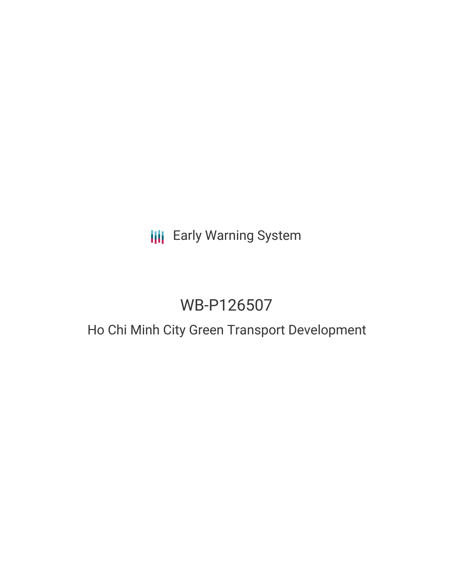# **III** Early Warning System

# WB-P126507

# Ho Chi Minh City Green Transport Development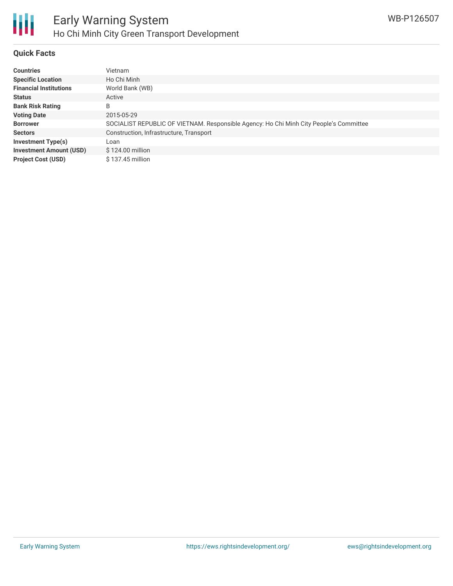

#### **Quick Facts**

| <b>Countries</b>               | Vietnam                                                                                |
|--------------------------------|----------------------------------------------------------------------------------------|
| <b>Specific Location</b>       | Ho Chi Minh                                                                            |
| <b>Financial Institutions</b>  | World Bank (WB)                                                                        |
| <b>Status</b>                  | Active                                                                                 |
| <b>Bank Risk Rating</b>        | B                                                                                      |
| <b>Voting Date</b>             | 2015-05-29                                                                             |
| <b>Borrower</b>                | SOCIALIST REPUBLIC OF VIETNAM. Responsible Agency: Ho Chi Minh City People's Committee |
| <b>Sectors</b>                 | Construction, Infrastructure, Transport                                                |
| <b>Investment Type(s)</b>      | Loan                                                                                   |
| <b>Investment Amount (USD)</b> | \$124.00 million                                                                       |
| <b>Project Cost (USD)</b>      | $$137.45$ million                                                                      |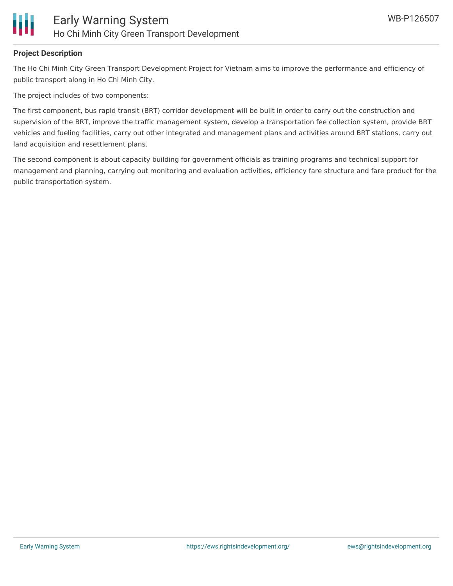

### **Project Description**

The Ho Chi Minh City Green Transport Development Project for Vietnam aims to improve the performance and efficiency of public transport along in Ho Chi Minh City.

The project includes of two components:

The first component, bus rapid transit (BRT) corridor development will be built in order to carry out the construction and supervision of the BRT, improve the traffic management system, develop a transportation fee collection system, provide BRT vehicles and fueling facilities, carry out other integrated and management plans and activities around BRT stations, carry out land acquisition and resettlement plans.

The second component is about capacity building for government officials as training programs and technical support for management and planning, carrying out monitoring and evaluation activities, efficiency fare structure and fare product for the public transportation system.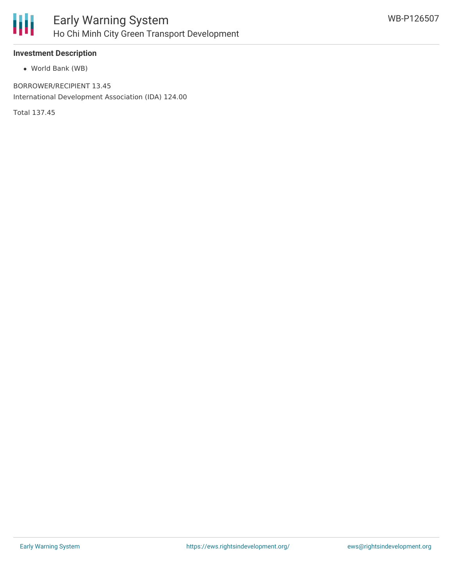

### **Investment Description**

World Bank (WB)

BORROWER/RECIPIENT 13.45 International Development Association (IDA) 124.00

Total 137.45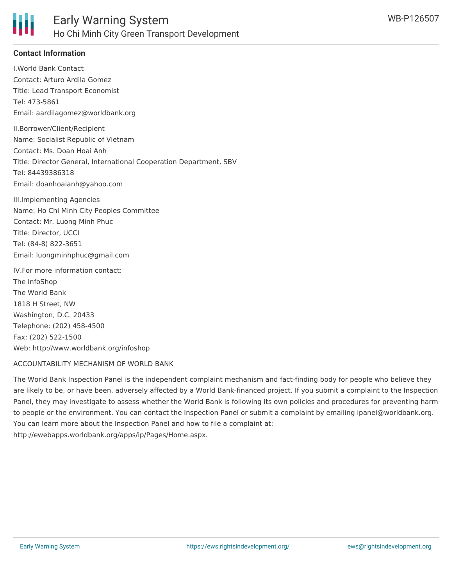

### **Contact Information**

I.World Bank Contact Contact: Arturo Ardila Gomez Title: Lead Transport Economist Tel: 473-5861 Email: aardilagomez@worldbank.org II.Borrower/Client/Recipient Name: Socialist Republic of Vietnam Contact: Ms. Doan Hoai Anh Title: Director General, International Cooperation Department, SBV Tel: 84439386318 Email: doanhoaianh@yahoo.com

III.Implementing Agencies Name: Ho Chi Minh City Peoples Committee Contact: Mr. Luong Minh Phuc Title: Director, UCCI Tel: (84-8) 822-3651 Email: luongminhphuc@gmail.com

IV.For more information contact: The InfoShop The World Bank 1818 H Street, NW Washington, D.C. 20433 Telephone: (202) 458-4500 Fax: (202) 522-1500 Web: http://www.worldbank.org/infoshop

#### ACCOUNTABILITY MECHANISM OF WORLD BANK

The World Bank Inspection Panel is the independent complaint mechanism and fact-finding body for people who believe they are likely to be, or have been, adversely affected by a World Bank-financed project. If you submit a complaint to the Inspection Panel, they may investigate to assess whether the World Bank is following its own policies and procedures for preventing harm to people or the environment. You can contact the Inspection Panel or submit a complaint by emailing ipanel@worldbank.org. You can learn more about the Inspection Panel and how to file a complaint at: http://ewebapps.worldbank.org/apps/ip/Pages/Home.aspx.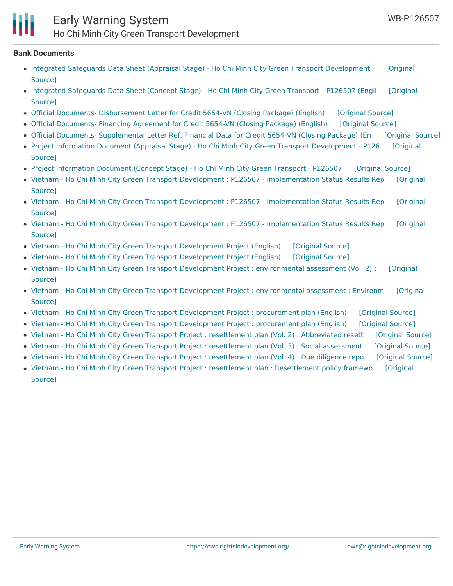

## Early Warning System Ho Chi Minh City Green Transport Development

#### **Bank Documents**

- Integrated Safeguards Data Sheet (Appraisal Stage) Ho Chi Minh City Green Transport [Development](https://ewsdata.rightsindevelopment.org/files/documents/07/WB-P126507_kfsJHTj.pdf) [Original Source]
- Integrated [Safeguards](https://ewsdata.rightsindevelopment.org/files/documents/07/WB-P126507_ZvsTSEF.pdf) Data Sheet (Concept Stage) Ho Chi Minh City Green Transport P126507 (Engli [Original **Source1**
- Official Documents- [Disbursement](https://ewsdata.rightsindevelopment.org/files/documents/07/WB-P126507_m6EB5PY.pdf) Letter for Credit 5654-VN (Closing Package) (English) [\[Original](http://documents.worldbank.org/curated/en/2015/07/24824460/official-documents--disbursement-letter-credit-5654-vn-closing-package) Source]
- Official [Documents-](https://ewsdata.rightsindevelopment.org/files/documents/07/WB-P126507_vE5VkNj.pdf) Financing Agreement for Credit 5654-VN (Closing Package) (English) [\[Original](http://documents.worldbank.org/curated/en/2015/07/24824504/official-documents--financing-agreement-credit-5654-vn-closing-package) Source]
- Official Documents- [Supplemental](https://ewsdata.rightsindevelopment.org/files/documents/07/WB-P126507_JA1PZAm.pdf) Letter Ref. Financial Data for Credit 5654-VN (Closing Package) (En [\[Original](http://documents.worldbank.org/curated/en/2015/07/24824518/official-documents--supplemental-letter-ref-financial-data-credit-5654-vn-closing-package) Source]
- Project Information Document (Appraisal Stage) Ho Chi Minh City Green Transport [Development](http://documents.worldbank.org/curated/en/2015/03/24324711/project-information-document-appraisal-stage-ho-chi-minh-city-green-transport-development-p126507) P126 [Original Source]
- Project [Information](https://ewsdata.rightsindevelopment.org/files/documents/07/WB-P126507_A833Axo.pdf) Document (Concept Stage) Ho Chi Minh City Green Transport P126507 [\[Original](http://documents.worldbank.org/curated/en/2012/08/17395945/project-information-document-concept-stage-ho-chi-minh-city-green-transport-p126507) Source]
- Vietnam Ho Chi Minh City Green Transport Development : P126507 [Implementation](https://ewsdata.rightsindevelopment.org/files/documents/07/WB-P126507_FWfWMgu.pdf) Status Results Rep [Original Source]
- Vietnam Ho Chi Minh City Green Transport Development : P126507 [Implementation](https://ewsdata.rightsindevelopment.org/files/documents/07/WB-P126507_BiHwhW8.pdf) Status Results Rep [Original Source]
- Vietnam Ho Chi Minh City Green Transport Development : P126507 [Implementation](https://ewsdata.rightsindevelopment.org/files/documents/07/WB-P126507_XOa2Jmm.pdf) Status Results Rep [Original Source]
- Vietnam Ho Chi Minh City Green Transport [Development](https://ewsdata.rightsindevelopment.org/files/documents/07/WB-P126507_PMHJsSL.pdf) Project (English) [\[Original](http://documents.worldbank.org/curated/en/2016/02/25886285/vietnam-ho-chi-minh-city-green-transport-development-project) Source]
- Vietnam Ho Chi Minh City Green Transport [Development](https://ewsdata.rightsindevelopment.org/files/documents/07/WB-P126507_TgQ9vD9.pdf) Project (English) [\[Original](http://documents.worldbank.org/curated/en/2015/06/24476769/vietnam-ho-chi-minh-city-green-transport-development-project) Source]
- Vietnam Ho Chi Minh City Green Transport Development Project : [environmental](https://ewsdata.rightsindevelopment.org/files/documents/07/WB-P126507_HVd5NaA.pdf) assessment (Vol. 2) : [Original Source]
- Vietnam Ho Chi Minh City Green Transport Development Project : [environmental](https://ewsdata.rightsindevelopment.org/files/documents/07/WB-P126507_a8CwU2A.pdf) assessment : Environm [Original Source]
- Vietnam Ho Chi Minh City Green Transport [Development](https://ewsdata.rightsindevelopment.org/files/documents/07/WB-P126507.pdf) Project : procurement plan (English) [\[Original](http://documents.worldbank.org/curated/en/2016/08/26671242/vietnam-ho-chi-minh-city-green-transport-development-project-procurement-plan) Source]
- Vietnam Ho Chi Minh City Green Transport [Development](https://ewsdata.rightsindevelopment.org/files/documents/07/WB-P126507_kojwuVk.pdf) Project : procurement plan (English) [\[Original](http://documents.worldbank.org/curated/en/2016/04/26216879/vietnam-ho-chi-minh-city-green-transport-development-project-procurement-plan) Source]
- Vietnam Ho Chi Minh City Green Transport Project : [resettlement](https://ewsdata.rightsindevelopment.org/files/documents/07/WB-P126507_UpvYtIF.pdf) plan (Vol. 2) : Abbreviated resett [\[Original](http://documents.worldbank.org/curated/en/2014/11/23075560/vietnam-ho-chi-minh-city-green-transport-project-resettlement-plan-vol-2-abbreviated-resettlement-action-plan) Source]
- Vietnam Ho Chi Minh City Green Transport Project : [resettlement](https://ewsdata.rightsindevelopment.org/files/documents/07/WB-P126507_4F9938l.pdf) plan (Vol. 3) : Social assessment [\[Original](http://documents.worldbank.org/curated/en/2014/11/23075561/vietnam-ho-chi-minh-city-green-transport-project-resettlement-plan-vol-3-social-assessment) Source]
- Vietnam Ho Chi Minh City Green Transport Project : [resettlement](https://ewsdata.rightsindevelopment.org/files/documents/07/WB-P126507_tClJpoS.pdf) plan (Vol. 4) : Due diligence repo [\[Original](http://documents.worldbank.org/curated/en/2014/11/23117519/vietnam-ho-chi-minh-city-green-transport-project-resettlement-plan-vol-4-due-diligence-report) Source]
- Vietnam Ho Chi Minh City Green Transport Project : resettlement plan : [Resettlement](http://documents.worldbank.org/curated/en/2015/02/24117083/vietnam-ho-chi-minh-city-green-transport-project-resettlement-plan-resettlement-policy-framework) policy framewo [Original Source]